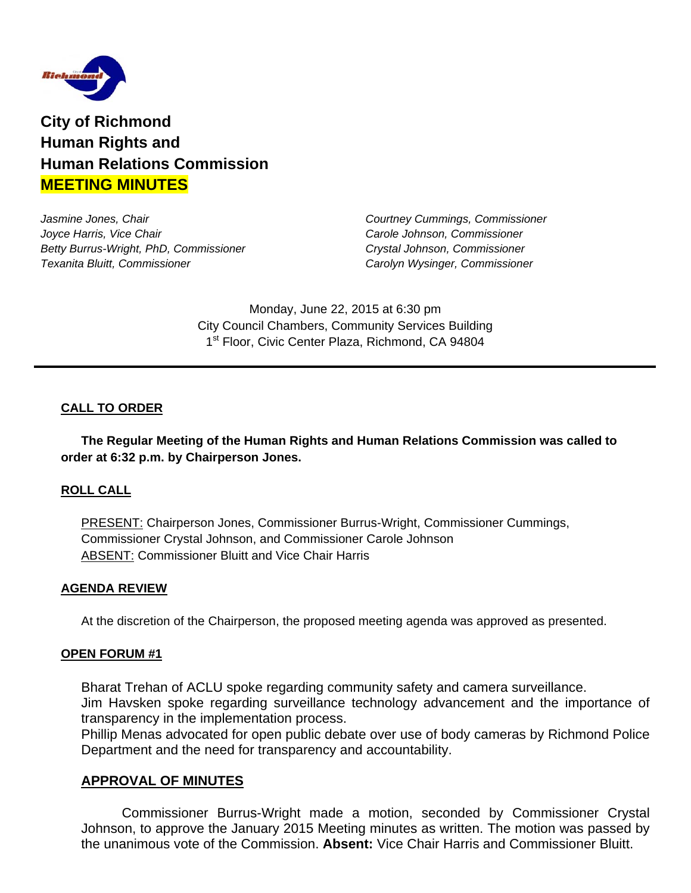

**City of Richmond Human Rights and Human Relations Commission MEETING MINUTES**

*Jasmine Jones, Chair Courtney Cummings, Commissioner Joyce Harris, Vice Chair Carole Johnson, Commissioner Betty Burrus-Wright, PhD, Commissioner Crystal Johnson, Commissioner Texanita Bluitt, Commissioner Carolyn Wysinger, Commissioner* 

Monday, June 22, 2015 at 6:30 pm City Council Chambers, Community Services Building 1<sup>st</sup> Floor, Civic Center Plaza, Richmond, CA 94804

# **CALL TO ORDER**

 **The Regular Meeting of the Human Rights and Human Relations Commission was called to order at 6:32 p.m. by Chairperson Jones.** 

### **ROLL CALL**

PRESENT: Chairperson Jones, Commissioner Burrus-Wright, Commissioner Cummings, Commissioner Crystal Johnson, and Commissioner Carole Johnson ABSENT: Commissioner Bluitt and Vice Chair Harris

#### **AGENDA REVIEW**

At the discretion of the Chairperson, the proposed meeting agenda was approved as presented.

#### **OPEN FORUM #1**

 Bharat Trehan of ACLU spoke regarding community safety and camera surveillance. Jim Havsken spoke regarding surveillance technology advancement and the importance of transparency in the implementation process.

Phillip Menas advocated for open public debate over use of body cameras by Richmond Police Department and the need for transparency and accountability.

### **APPROVAL OF MINUTES**

 Commissioner Burrus-Wright made a motion, seconded by Commissioner Crystal Johnson, to approve the January 2015 Meeting minutes as written. The motion was passed by the unanimous vote of the Commission. **Absent:** Vice Chair Harris and Commissioner Bluitt.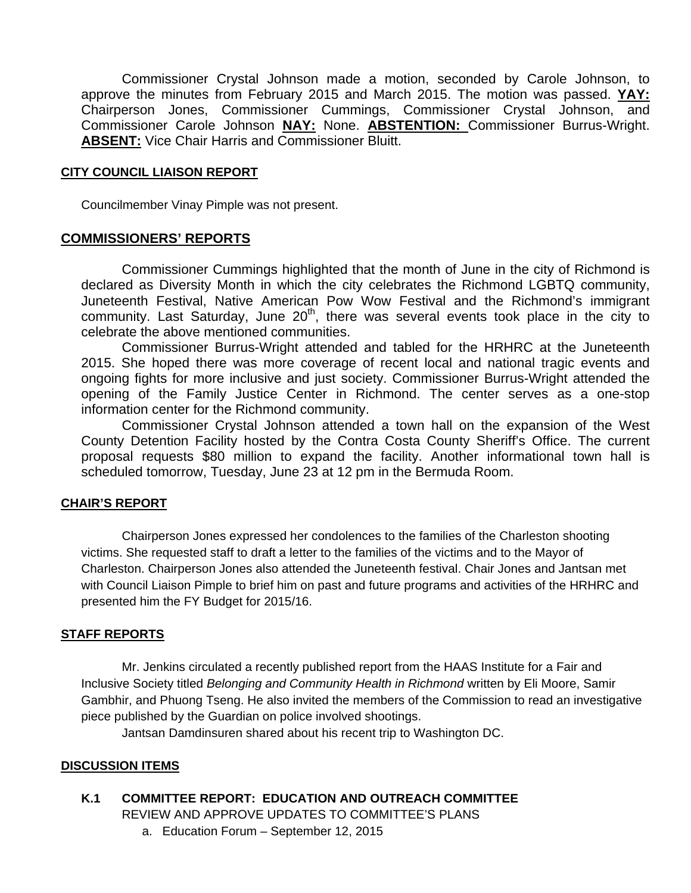Commissioner Crystal Johnson made a motion, seconded by Carole Johnson, to approve the minutes from February 2015 and March 2015. The motion was passed. **YAY:** Chairperson Jones, Commissioner Cummings, Commissioner Crystal Johnson, and Commissioner Carole Johnson **NAY:** None. **ABSTENTION:** Commissioner Burrus-Wright. **ABSENT:** Vice Chair Harris and Commissioner Bluitt.

#### **CITY COUNCIL LIAISON REPORT**

Councilmember Vinay Pimple was not present.

#### **COMMISSIONERS' REPORTS**

Commissioner Cummings highlighted that the month of June in the city of Richmond is declared as Diversity Month in which the city celebrates the Richmond LGBTQ community, Juneteenth Festival, Native American Pow Wow Festival and the Richmond's immigrant community. Last Saturday, June  $20<sup>th</sup>$ , there was several events took place in the city to celebrate the above mentioned communities.

Commissioner Burrus-Wright attended and tabled for the HRHRC at the Juneteenth 2015. She hoped there was more coverage of recent local and national tragic events and ongoing fights for more inclusive and just society. Commissioner Burrus-Wright attended the opening of the Family Justice Center in Richmond. The center serves as a one-stop information center for the Richmond community.

Commissioner Crystal Johnson attended a town hall on the expansion of the West County Detention Facility hosted by the Contra Costa County Sheriff's Office. The current proposal requests \$80 million to expand the facility. Another informational town hall is scheduled tomorrow, Tuesday, June 23 at 12 pm in the Bermuda Room.

#### **CHAIR'S REPORT**

Chairperson Jones expressed her condolences to the families of the Charleston shooting victims. She requested staff to draft a letter to the families of the victims and to the Mayor of Charleston. Chairperson Jones also attended the Juneteenth festival. Chair Jones and Jantsan met with Council Liaison Pimple to brief him on past and future programs and activities of the HRHRC and presented him the FY Budget for 2015/16.

#### **STAFF REPORTS**

Mr. Jenkins circulated a recently published report from the HAAS Institute for a Fair and Inclusive Society titled *Belonging and Community Health in Richmond* written by Eli Moore, Samir Gambhir, and Phuong Tseng. He also invited the members of the Commission to read an investigative piece published by the Guardian on police involved shootings.

Jantsan Damdinsuren shared about his recent trip to Washington DC.

#### **DISCUSSION ITEMS**

#### **K.1 COMMITTEE REPORT: EDUCATION AND OUTREACH COMMITTEE**

REVIEW AND APPROVE UPDATES TO COMMITTEE'S PLANS

a. Education Forum – September 12, 2015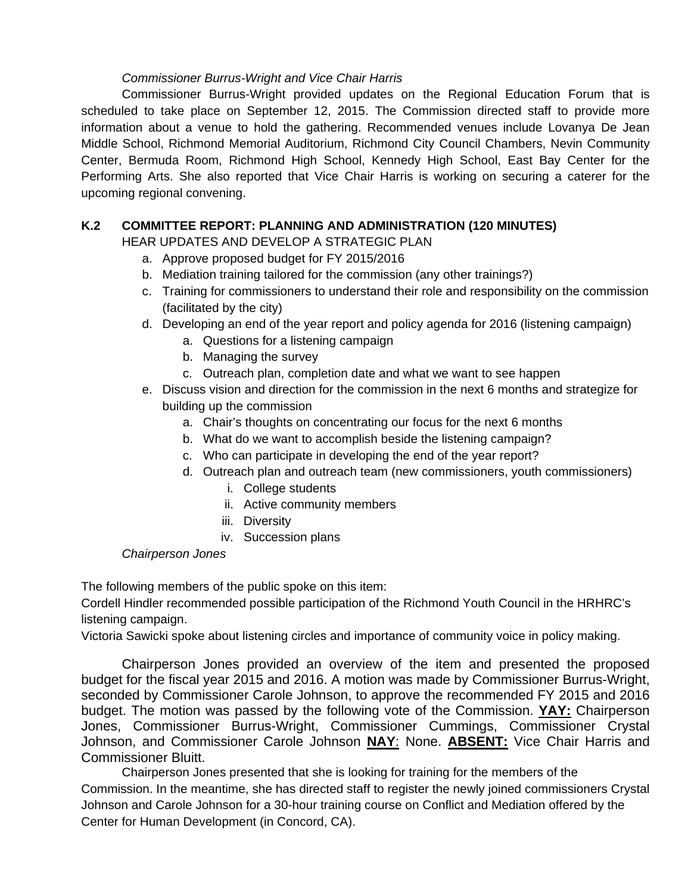## *Commissioner Burrus-Wright and Vice Chair Harris*

Commissioner Burrus-Wright provided updates on the Regional Education Forum that is scheduled to take place on September 12, 2015. The Commission directed staff to provide more information about a venue to hold the gathering. Recommended venues include Lovanya De Jean Middle School, Richmond Memorial Auditorium, Richmond City Council Chambers, Nevin Community Center, Bermuda Room, Richmond High School, Kennedy High School, East Bay Center for the Performing Arts. She also reported that Vice Chair Harris is working on securing a caterer for the upcoming regional convening.

# **K.2 COMMITTEE REPORT: PLANNING AND ADMINISTRATION (120 MINUTES)**

HEAR UPDATES AND DEVELOP A STRATEGIC PLAN

- a. Approve proposed budget for FY 2015/2016
- b. Mediation training tailored for the commission (any other trainings?)
- c. Training for commissioners to understand their role and responsibility on the commission (facilitated by the city)
- d. Developing an end of the year report and policy agenda for 2016 (listening campaign)
	- a. Questions for a listening campaign
	- b. Managing the survey
	- c. Outreach plan, completion date and what we want to see happen
- e. Discuss vision and direction for the commission in the next 6 months and strategize for building up the commission
	- a. Chair's thoughts on concentrating our focus for the next 6 months
	- b. What do we want to accomplish beside the listening campaign?
	- c. Who can participate in developing the end of the year report?
	- d. Outreach plan and outreach team (new commissioners, youth commissioners)
		- i. College students
		- ii. Active community members
		- iii. Diversity
		- iv. Succession plans

### *Chairperson Jones*

The following members of the public spoke on this item:

Cordell Hindler recommended possible participation of the Richmond Youth Council in the HRHRC's listening campaign.

Victoria Sawicki spoke about listening circles and importance of community voice in policy making.

Chairperson Jones provided an overview of the item and presented the proposed budget for the fiscal year 2015 and 2016. A motion was made by Commissioner Burrus-Wright, seconded by Commissioner Carole Johnson, to approve the recommended FY 2015 and 2016 budget. The motion was passed by the following vote of the Commission. **YAY:** Chairperson Jones, Commissioner Burrus-Wright, Commissioner Cummings, Commissioner Crystal Johnson, and Commissioner Carole Johnson **NAY**: None. **ABSENT:** Vice Chair Harris and Commissioner Bluitt.

Chairperson Jones presented that she is looking for training for the members of the Commission. In the meantime, she has directed staff to register the newly joined commissioners Crystal Johnson and Carole Johnson for a 30-hour training course on Conflict and Mediation offered by the Center for Human Development (in Concord, CA).